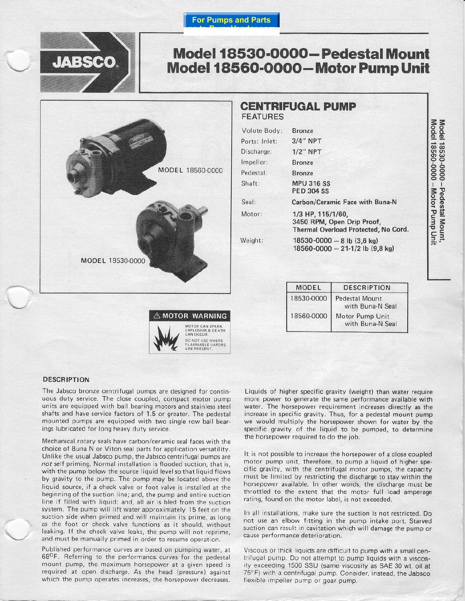

# Model 18530-0000-Pedestal Mount Model 18560-0000-Motor Pump Unit



# **CENTRIFUGAL PUMP FEATURES**

| Volute Body:  | <b>Bronze</b>                                                                           |
|---------------|-----------------------------------------------------------------------------------------|
| Ports: Inlet: | $3/4$ " NPT                                                                             |
| Discharge:    | $1/2$ " NPT                                                                             |
| Impeller:     | <b>Bronze</b>                                                                           |
| Pedestal:     | <b>Bronze</b>                                                                           |
| Shaft:        | <b>MPU 316 SS</b><br><b>PED 304 SS</b>                                                  |
| Seal:         | Carbon/Ceramic Face with Buna-N                                                         |
| Motor:        | 1/3 HP, 115/1/60,<br>3450 RPM, Open Drip Proof,<br>Thermal Overload Protected, No Cord. |
| Weight:       | 18530-0000 - 8 lb $(3,6 \text{ kg})$<br>18560-0000 - 21-1/2 lb (9,8 kg)                 |
|               |                                                                                         |

| MODEL      | <b>DESCRIPTION</b>                        |  |
|------------|-------------------------------------------|--|
| 18530-0000 | <b>Pedestal Mount</b><br>with Buna-N Seal |  |
| 18560-0000 | Motor Pump Unit<br>with Buna-N Seal       |  |

#### **DESCRIPTION**

The Jabsco bronze centrifugal pumps are designed for continuous duty service. The close coupled, compact motor pump units are equipped with ball bearing motors and stainless steel shafts and have service factors of 1.5 or greater. The pedestal mounted pumps are equipped with two single row ball bearings lubricated for long heavy duty service.

 $\triangle$  MOTOR WARNING

MOTOR CAN SPARK.<br>EXPLOSION & DEATH<br>CAN OCCUR. DO NOT USE WHERE<br>FLAMMABLE VAPORS<br>ARE PRESENT

Mechanical rotary seals have carbon/ceramic seal faces with the choice of Buna N or Viton seal parts for application versatility. Unlike the usual Jabsco pump, the Jabsco centrifugal pumps are not self priming. Normal installation is flooded suction, that is, with the pump below the source liquid level so that liquid flows by gravity to the pump. The pump may be located above the liquid source, if a check valve or foot valve is installed at the beginning of the suction line; and, the pump and entire suction line if filled with liquid; and, all air is bled from the suction system. The pump will lift water approximately 15 feet on the suction side when primed and will maintain its prime, as long as the foot or check valve functions as it should, without leaking. If the check valve leaks, the pump will not reprime, and must be manually primed in order to resume operation.

Published performance curves are based on pumping water, at 68<sup>O</sup>F. Referring to the performance curves for the pedestal mount pump, the maximum horsepower at a given speed is required at open discharge. As the head (pressure) against which the pump operates increases, the horsepower decreases.

Liquids of higher specific gravity (weight) than water require more power to generate the same performance available with water. The horsepower requirement increases directly as the increase in specific gravity. Thus, for a pedestal mount pump we would multiply the horsepower shown for water by the specific gravity of the liquid to be pumped, to determine the horsepower required to do the job.

It is not possible to increase the horsepower of a close coupled motor pump unit, therefore, to pump a liquid of higher specific gravity, with the centrifugal motor pumps, the capacity must be limited by restricting the discharge to stay within the horsepower available. In other words, the discharge must be throttled to the extent that the motor full load amperage rating, found on the motor label, is not exceeded.

In all installations, make sure the suction is not restricted. Do not use an elbow fitting in the pump intake port. Starved suction can result in cavitation which will damage the pump or cause performance deterioration.

Viscous or thick liquids are difficult to pump with a small centrifugal pump. Do not attempt to pump liquids with a viscosity exceeding 1500 SSU (same viscosity as SAE 30 wt. oil at 75°F) with a centrifugal pump. Consider, instead, the Jabsco flexible impeller pump or gear pump.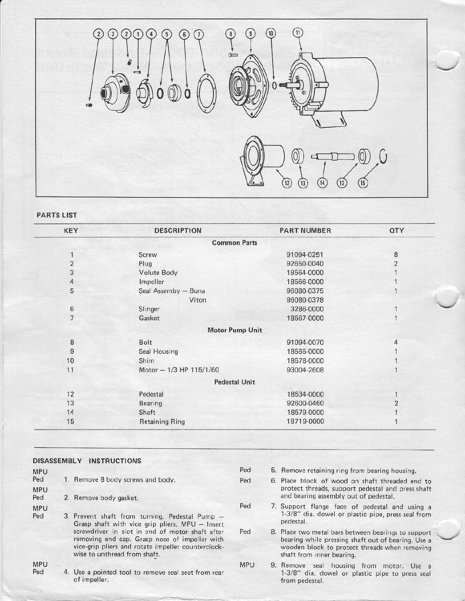

**PARTS LIST** 

| KEY            | <b>DESCRIPTION</b>      | <b>PART NUMBER</b> | QTY            |
|----------------|-------------------------|--------------------|----------------|
|                | <b>Common Parts</b>     |                    |                |
|                | Screw                   | 91094-0251         | $\, 8$         |
| $\overline{c}$ | Plug                    | 92650-0040         | $\overline{c}$ |
| 3              | Volute Body             | 18564-0000         |                |
| 4              | Impeller                | 18566-0000         |                |
| 5              | Seal Assemby - Buna     | 96080-0375         |                |
|                | Viton                   | 96080-0378         |                |
| 6              | Slinger                 | 3286-0000          |                |
| $\overline{7}$ | Gasket                  | 18567-0000         |                |
|                | <b>Motor Pump Unit</b>  |                    |                |
| 8              | Bolt                    | 91094-0070         | 4              |
| 9              | Seal Housing            | 18565-0000         |                |
| 10             | Shim                    | 18578-0000         |                |
| 11             | Motor - 1/3 HP 115/1/60 | 93004-2608         |                |
|                | <b>Pedestal Unit</b>    |                    |                |
| 12             | Pedestal                | 18534-0000         |                |
| 13             | <b>Bearing</b>          | 92600-0460         | $\overline{2}$ |
| 14             | Shaft                   | 18579-0000         |                |
| 15             | <b>Retaining Ring</b>   | 18719-0000         |                |

## DISASSEMBLY INSTRUCTIONS

Ped 5. Remove retaining ring from bearing housing. **MPU** Ped 1. Remove 8 body screws and body. Ped 6. Place block of wood on shaft threaded end to protect threads, support pedestal and press shaft **MPU** and bearing assembly out of pedestal. 2. Remove body gasket. Ped 7. Support flange face of pedestal and using a Ped **MPU** 1-3/8" dia. dowel or plastic pipe, press seal from Ped 3. Prevent shaft from turning. Pedestal Pump pedestal. Grasp shaft with vice grip pliers. MPU - Insert screwdriver in slot in end of motor shaft after Ped 8. Place two metal bars between bearings to support removing end cap. Grasp nose of impeller with bearing while pressing shaft out of bearing. Use a vice-grip pliers and rotate impeller counterclockwooden block to protect threads when removing wise to unthread from shaft. shaft from inner bearing.

**MPU** Ped

- 4. Use a pointed tool to remove seal seat from rear of impeller.
- MPU 9. Remove seal housing from motor. Use a 1-3/8" dia. dowel or plastic pipe to press seal from pedestal.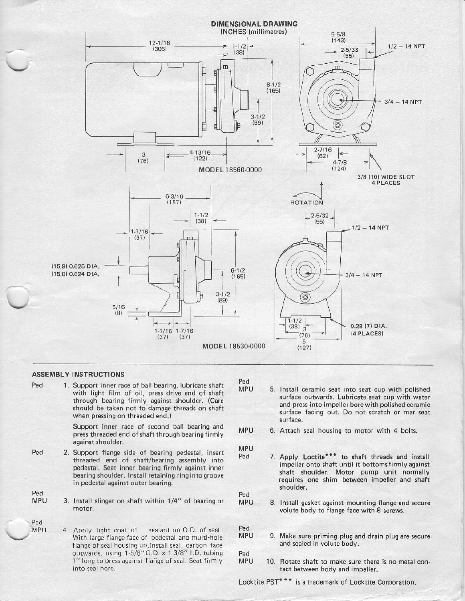

#### **ASSEMBLY INSTRUCTIONS**

Ped 1. Support inner race of ball bearing, lubricate shaft with light film of oil, press drive end of shaft through bearing firmly against shoulder. (Care should be taken not to damage threads on shaft when pressing on threaded end.)

> Support inner race of second ball bearing and press threaded end of shaft through bearing firmly against shoulder.

- 2. Support flange side of bearing pedestal, insert threaded end of shaft/bearing assembly into pedestal. Seat inner bearing firmly against inner bearing shoulder. Install retaining ring into groove in pedestal against outer bearing.
	- 3. Install slinger on shaft within 1/4" of bearing or motor.
		- sealant on O.D. of seal. 4. Apply light coat of With large flange face of pedestal and multi-hole flange of seal housing up, install seal, carbon face outwards, using 1-5/8" O.D. x 1-3/8" I.D. tubing 1" long to press against flange of seal. Seat firmly into seal bore.

Ped

- **MPU** 5. Install ceramic seat into seat cup with polished surface outwards. Lubricate seat cup with water and press into impeller bore with polished ceramic surface facing out. Do not scratch or mar seat surface.
- MPU 6. Attach seal housing to motor with 4 bolts.
- **MPU** Ped
- 7. Apply Loctite\*\*\* to shaft threads and install impeller onto shaft until it bottoms firmly against shaft shoulder. Motor pump unit normally requires one shim between impeller and shaft shoulder.

Ped

**MPU** 8. Install gasket against mounting flange and secure volute body to flange face with 8 screws.

Ped

- **MPU** 9. Make sure priming plug and drain plug are secure and sealed in volute body.
- Ped
- **MPU** 10. Rotate shaft to make sure there is no metal contact between body and impeller.

Locktite PST<sup>\*</sup>\*\* is a trademark of Locktite Corporation.

Ped **MPU** 

Ped

**MPU** 

Ped